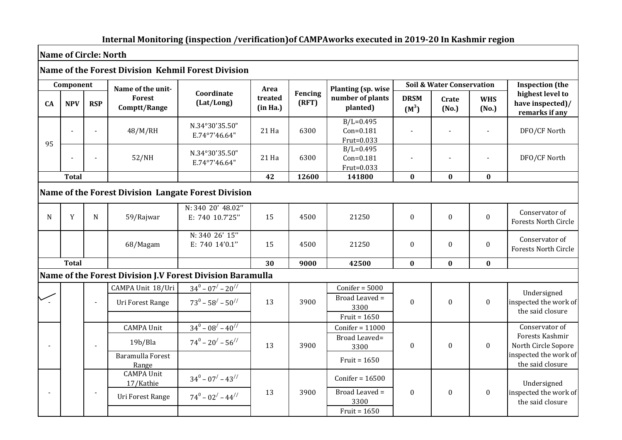## **Internal Monitoring (inspection /verification)of CAMPAworks executed in 2019-20 In Kashmir region**

## **Name of Circle: North**

## **Name of the Forest Division Kehmil Forest Division**

|             |              |                          |                                                           | vanic of the Forest Division Trenhill Forest Division     |                     |                         |                                                               |                                      |                  |                     |                                                                                                       |  |
|-------------|--------------|--------------------------|-----------------------------------------------------------|-----------------------------------------------------------|---------------------|-------------------------|---------------------------------------------------------------|--------------------------------------|------------------|---------------------|-------------------------------------------------------------------------------------------------------|--|
| Component   |              |                          | Name of the unit-                                         |                                                           | Area                |                         | <b>Planting (sp. wise</b>                                     | <b>Soil &amp; Water Conservation</b> |                  |                     | <b>Inspection</b> (the                                                                                |  |
| CA          | <b>NPV</b>   | <b>RSP</b>               | <b>Forest</b><br>Comptt/Range                             | Coordinate<br>(Lat/Long)                                  | treated<br>(in Ha.) | <b>Fencing</b><br>(RFT) | number of plants<br>planted)                                  | <b>DRSM</b><br>$(M^3)$               | Crate<br>(No.)   | <b>WHS</b><br>(No.) | highest level to<br>have inspected)/<br>remarks if any                                                |  |
| 95          |              |                          | 48/M/RH                                                   | N.34°30'35.50"<br>E.74°7'46.64"                           | 21 Ha               | 6300                    | $B/L = 0.495$<br>$Con=0.181$<br>Frut=0.033                    |                                      |                  |                     | DFO/CF North                                                                                          |  |
|             |              |                          | 52/NH                                                     | N.34°30'35.50"<br>E.74°7'46.64"                           | 21 Ha               | 6300                    | $B/L = 0.495$<br>$Con=0.181$<br>Frut=0.033                    |                                      |                  |                     | DFO/CF North                                                                                          |  |
|             | <b>Total</b> |                          |                                                           |                                                           | 42                  | 12600                   | 141800                                                        | $\bf{0}$                             | $\bf{0}$         | $\bf{0}$            |                                                                                                       |  |
|             |              |                          |                                                           | Name of the Forest Division Langate Forest Division       |                     |                         |                                                               |                                      |                  |                     |                                                                                                       |  |
| $\mathbf N$ | Y            | $\mathbf N$              | 59/Rajwar                                                 | N: 340 20' 48.02"<br>E: 740 10.7'25"                      | 15                  | 4500                    | 21250                                                         | $\boldsymbol{0}$                     | $\theta$         | $\mathbf{0}$        | Conservator of<br><b>Forests North Circle</b>                                                         |  |
|             |              |                          | 68/Magam                                                  | N: 340 26' 15"<br>E: 740 14'0.1"                          | 15                  | 4500                    | 21250                                                         | $\boldsymbol{0}$                     | $\mathbf{0}$     | $\boldsymbol{0}$    | Conservator of<br><b>Forests North Circle</b>                                                         |  |
|             | <b>Total</b> |                          |                                                           |                                                           | 30                  | 9000                    | 42500                                                         | $\bf{0}$                             | $\bf{0}$         | $\bf{0}$            |                                                                                                       |  |
|             |              |                          |                                                           | Name of the Forest Division J.V Forest Division Baramulla |                     |                         |                                                               |                                      |                  |                     |                                                                                                       |  |
|             |              |                          | CAMPA Unit 18/Uri<br>Uri Forest Range                     | $34^0 - 07' - 20''$<br>$73^0 - 58' - 50''$                | 13                  | 3900                    | Conifer = $5000$<br>Broad Leaved =<br>3300<br>Fruit = $1650$  | $\mathbf{0}$                         | $\mathbf{0}$     | $\boldsymbol{0}$    | Undersigned<br>inspected the work of<br>the said closure                                              |  |
|             |              |                          | <b>CAMPA Unit</b><br>19b/Bla<br>Baramulla Forest<br>Range | $34^0 - 08' - 40''$<br>$74^0 - 20' - 56''$                | 13                  | 3900                    | Conifer = $11000$<br>Broad Leaved=<br>3300<br>Fruit = $1650$  | $\boldsymbol{0}$                     | $\boldsymbol{0}$ | $\boldsymbol{0}$    | Conservator of<br>Forests Kashmir<br>North Circle Sopore<br>inspected the work of<br>the said closure |  |
|             |              | $\overline{\phantom{a}}$ | <b>CAMPA Unit</b><br>17/Kathie<br>Uri Forest Range        | $34^0 - 07' - 43''$<br>$74^0 - 02' - 44''$                | 13                  | 3900                    | Conifer = $16500$<br>Broad Leaved =<br>3300<br>Fruit = $1650$ | $\boldsymbol{0}$                     | $\boldsymbol{0}$ | $\pmb{0}$           | Undersigned<br>inspected the work of<br>the said closure                                              |  |